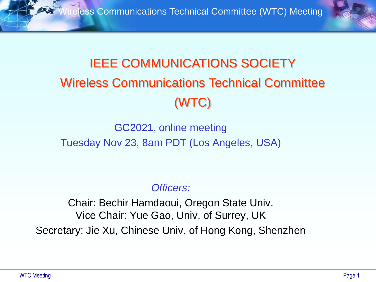

### IEEE COMMUNICATIONS SOCIETY Wireless Communications Technical Committee (WTC)

GC2021, online meeting Tuesday Nov 23, 8am PDT (Los Angeles, USA)

*Officers:*

Chair: Bechir Hamdaoui, Oregon State Univ. Vice Chair: Yue Gao, Univ. of Surrey, UK Secretary: Jie Xu, Chinese Univ. of Hong Kong, Shenzhen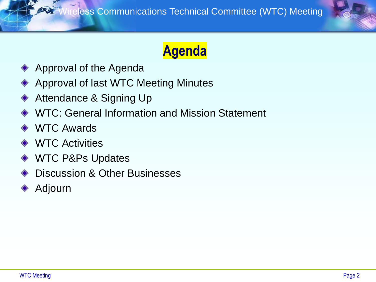

### **Agenda**

- Approval of the Agenda
- Approval of last WTC Meeting Minutes
- Attendance & Signing Up ◆
- WTC: General Information and Mission Statement
- **◆ WTC Awards**
- **◆ WTC Activities**
- WTC P&Ps Updates
- Discussion & Other Businesses
- Adjourn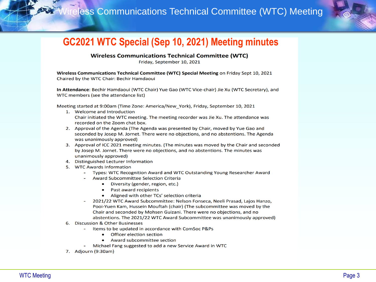

### **GC2021 WTC Special (Sep 10, 2021) Meeting minutes**

**Wireless Communications Technical Committee (WTC)** 

Friday, September 10, 2021

Wireless Communications Technical Committee (WTC) Special Meeting on Friday Sept 10, 2021 Chaired by the WTC Chair: Bechir Hamdaoui

In Attendance: Bechir Hamdaoui (WTC Chair) Yue Gao (WTC Vice-chair) Jie Xu (WTC Secretary), and WTC members (see the attendance list)

Meeting started at 9:00am (Time Zone: America/New York), Friday, September 10, 2021

- 1. Welcome and Introduction Chair initiated the WTC meeting. The meeting recorder was Jie Xu. The attendance was recorded on the Zoom chat box.
- 2. Approval of the Agenda (The Agenda was presented by Chair, moved by Yue Gao and seconded by Josep M. Jornet. There were no objections, and no abstentions. The Agenda was unanimously approved)
- 3. Approval of ICC 2021 meeting minutes. (The minutes was moved by the Chair and seconded by Josep M. Jornet. There were no objections, and no abstentions. The minutes was unanimously approved)
- 4. Distinguished Lecturer Information
- 5. WTC Awards Information
	- Types: WTC Recognition Award and WTC Outstanding Young Researcher Award
	- Award Subcommittee Selection Criteria
		- $\bullet$ Diversity (gender, region, etc.)
		- Past award recipients  $\bullet$
		- Aligned with other TCs' selection criteria
	- 2021/22 WTC Award Subcommittee: Nelson Fonseca, Neeli Prasad, Lajos Hanzo, Pooi-Yuen Kam, Hussein Mouftah (chair) (The subcommittee was moved by the Chair and seconded by Mohsen Guizani. There were no objections, and no abstentions. The 2021/22 WTC Award Subcommittee was unanimously approved)
- 6. Discussion & Other Businesses
	- Items to be updated in accordance with ComSoc P&Ps
		- **Officer election section**  $\bullet$
		- Award subcommittee section
	- Michael Fang suggested to add a new Service Award in WTC
- 7. Adjourn (9:30am)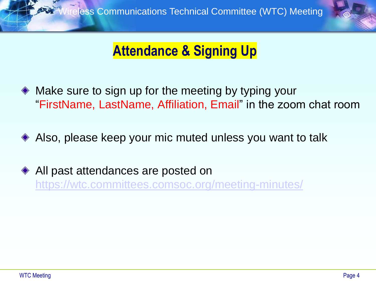

### **Attendance & Signing Up**

- Make sure to sign up for the meeting by typing your "FirstName, LastName, Affiliation, Email" in the zoom chat room
- Also, please keep your mic muted unless you want to talk
- ◆ All past attendances are posted on <https://wtc.committees.comsoc.org/meeting-minutes/>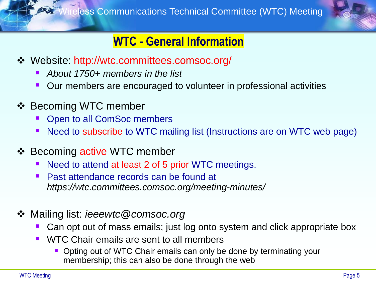

### **WTC - General Information**

- ❖ Website: http://wtc.committees.comsoc.org/
	- *About 1750+ members in the list*
	- Our members are encouraged to volunteer in professional activities
- ❖ Becoming WTC member
	- Open to all ComSoc members
	- Need to subscribe to WTC mailing list (Instructions are on WTC web page)
- ❖ Becoming active WTC member
	- Need to attend at least 2 of 5 prior WTC meetings.
	- **Past attendance records can be found at** *https://wtc.committees.comsoc.org/meeting-minutes/*
- ❖ Mailing list: *ieeewtc@comsoc.org*
	- Can opt out of mass emails; just log onto system and click appropriate box
	- WTC Chair emails are sent to all members
		- Opting out of WTC Chair emails can only be done by terminating your membership; this can also be done through the web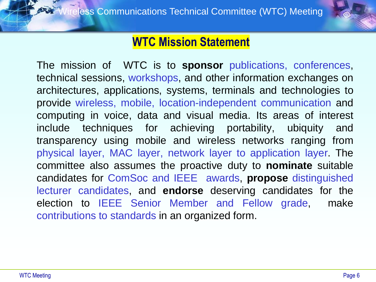

### **WTC Mission Statement**

The mission of WTC is to **sponsor** publications, conferences, technical sessions, workshops, and other information exchanges on architectures, applications, systems, terminals and technologies to provide wireless, mobile, location-independent communication and computing in voice, data and visual media. Its areas of interest include techniques for achieving portability, ubiquity and transparency using mobile and wireless networks ranging from physical layer, MAC layer, network layer to application layer. The committee also assumes the proactive duty to **nominate** suitable candidates for ComSoc and IEEE awards, **propose** distinguished lecturer candidates, and **endorse** deserving candidates for the election to IEEE Senior Member and Fellow grade, make contributions to standards in an organized form.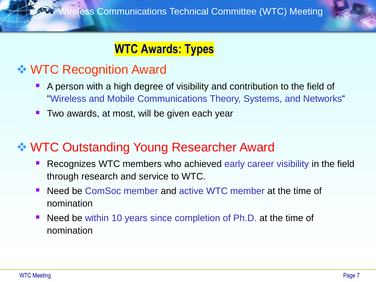

### **WTC Awards: Types**

### ❖ WTC Recognition Award

- A person with a high degree of visibility and contribution to the field of "Wireless and Mobile Communications Theory, Systems, and Networks"
- Two awards, at most, will be given each year

### ❖ WTC Outstanding Young Researcher Award

- Recognizes WTC members who achieved early career visibility in the field through research and service to WTC.
- Need be ComSoc member and active WTC member at the time of nomination
- Need be within 10 years since completion of Ph.D. at the time of nomination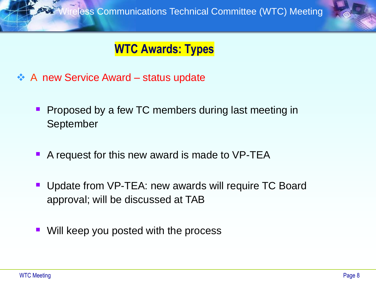

### **WTC Awards: Types**

- ❖ A new Service Award status update
	- **Proposed by a few TC members during last meeting in** September
	- A request for this new award is made to VP-TEA
	- Update from VP-TEA: new awards will require TC Board approval; will be discussed at TAB
	- Will keep you posted with the process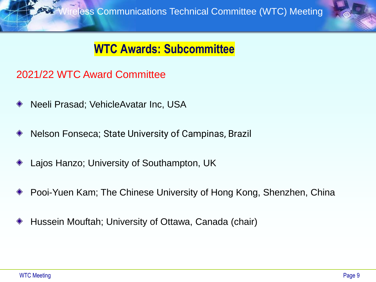### **WTC Awards: Subcommittee**

### 2021/22 WTC Award Committee

- Neeli Prasad; VehicleAvatar Inc, USA
- Nelson Fonseca; State University of Campinas, Brazil
- Lajos Hanzo; University of Southampton, UK
- Pooi-Yuen Kam; The Chinese University of Hong Kong, Shenzhen, China
- Hussein Mouftah; University of Ottawa, Canada (chair)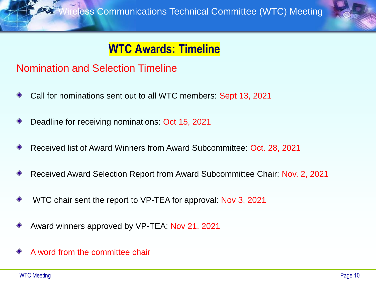

### **WTC Awards: Timeline**

#### Nomination and Selection Timeline

- Call for nominations sent out to all WTC members: Sept 13, 2021
- Deadline for receiving nominations: Oct 15, 2021
- Received list of Award Winners from Award Subcommittee: Oct. 28, 2021
- Received Award Selection Report from Award Subcommittee Chair: Nov. 2, 2021
- WTC chair sent the report to VP-TEA for approval: Nov 3, 2021
- Award winners approved by VP-TEA: Nov 21, 2021
- A word from the committee chair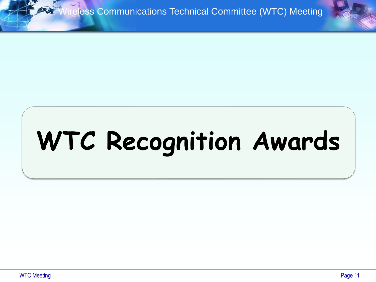# **WTC Recognition Awards**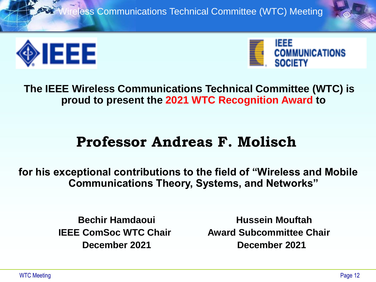



**The IEEE Wireless Communications Technical Committee (WTC) is proud to present the 2021 WTC Recognition Award to**

### **Professor Andreas F. Molisch**

**for his exceptional contributions to the field of "Wireless and Mobile Communications Theory, Systems, and Networks"**

**Bechir Hamdaoui Hussein Mouftah IEEE ComSoc WTC Chair Figure Award Subcommittee Chair December 2021 December 2021**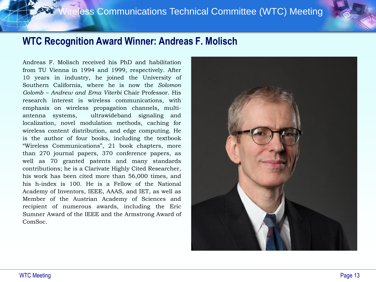#### **WTC Recognition Award Winner: Andreas F. Molisch**

Andreas F. Molisch received his PhD and habilitation from TU Vienna in 1994 and 1999, respectively. After 10 years in industry, he joined the University of Southern California, where he is now the *Solomon Golomb – Andrew and Erna Viterbi* Chair Professor. His research interest is wireless communications, with emphasis on wireless propagation channels, multiantenna systems, ultrawideband signaling and localization, novel modulation methods, caching for wireless content distribution, and edge computing. He is the author of four books, including the textbook "Wireless Communications", 21 book chapters, more than 270 journal papers, 370 conference papers, as well as 70 granted patents and many standards contributions; he is a Clarivate Highly Cited Researcher, his work has been cited more than 56,000 times, and his h-index is 100. He is a Fellow of the National Academy of Inventors, IEEE, AAAS, and IET, as well as Member of the Austrian Academy of Sciences and recipient of numerous awards, including the Eric Sumner Award of the IEEE and the Armstrong Award of ComSoc.

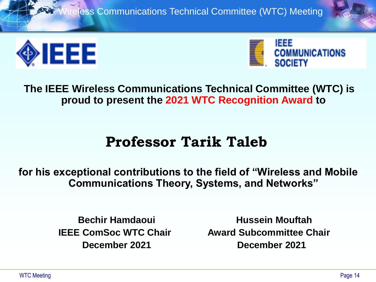



**The IEEE Wireless Communications Technical Committee (WTC) is proud to present the 2021 WTC Recognition Award to**

### **Professor Tarik Taleb**

**for his exceptional contributions to the field of "Wireless and Mobile Communications Theory, Systems, and Networks"**

**Bechir Hamdaoui Hussein Mouftah IEEE ComSoc WTC Chair Figure Award Subcommittee Chair December 2021 December 2021**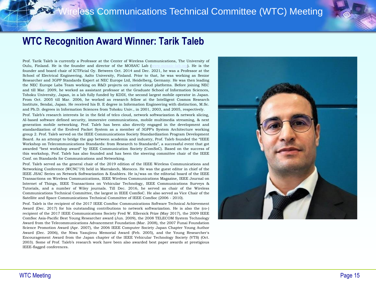#### **WTC Recognition Award Winner: Tarik Taleb**

Prof. Tarik Taleb is currently a Professor at the Center of Wireless Communications, The University of Oulu, Finland. He is the founder and director of the MOSA!C Lab [\(www.mosaic-lab.org\)](http://www.mosaic-lab.org/). He is the founder and board chair of ICTFicial Oy. Between Oct. 2014 and Dec. 2021, he was a Professor at the School of Electrical Engineering, Aalto University, Finland. Prior to that, he was working as Senior Researcher and 3GPP Standards Expert at NEC Europe Ltd, Heidelberg, Germany. He was then leading the NEC Europe Labs Team working on R&D projects on carrier cloud platforms. Before joining NEC and till Mar. 2009, he worked as assistant professor at the Graduate School of Information Sciences, Tohoku University, Japan, in a lab fully funded by KDDI, the second largest mobile operator in Japan. From Oct. 2005 till Mar. 2006, he worked as research fellow at the Intelligent Cosmos Research Institute, Sendai, Japan. He received his B. E degree in Information Engineering with distinction, M.Sc. and Ph.D. degrees in Information Sciences from Tohoku Univ., in 2001, 2003, and 2005, respectively.

Prof. Taleb's research interests lie in the field of telco cloud, network softwarization & network slicing, AI-based software defined security, immersive communications, mobile multimedia streaming, & next generation mobile networking. Prof. Taleb has been also directly engaged in the development and standardization of the Evolved Packet System as a member of 3GPP's System Architecture working group 2. Prof. Taleb served on the IEEE Communications Society Standardization Program Development Board. As an attempt to bridge the gap between academia and industry, Prof. Taleb founded the "IEEE Workshop on Telecommunications Standards: from Research to Standards", a successful event that got awarded "best workshop award" by IEEE Communication Society (ComSoC). Based on the success of this workshop, Prof. Taleb has also founded and has been the steering committee chair of the IEEE Conf. on Standards for Communications and Networking.

Prof. Taleb served as the general chair of the 2019 edition of the IEEE Wireless Communications and Networking Conference (WCNC'19) held in Marrakech, Morocco. He was the guest editor in chief of the IEEE JSAC Series on Network Softwarization & Enablers. He is/was on the editorial board of the IEEE Transactions on Wireless Communications, IEEE Wireless Communications Magazine, IEEE Journal on Internet of Things, IEEE Transactions on Vehicular Technology, IEEE Communications Surveys & Tutorials, and a number of Wiley journals. Till Dec. 2016, he served as chair of the Wireless Communications Technical Committee, the largest in IEEE ComSoC. He also served as Vice Chair of the Satellite and Space Communications Technical Committee of IEEE ComSoc (2006 - 2010).

Prof. Taleb is the recipient of the 2017 IEEE ComSoc Communications Software Technical Achievement Award (Dec. 2017) for his outstanding contributions to network softwarization. He is also the (co-) recipient of the 2017 IEEE Communications Society Fred W. Ellersick Prize (May 2017), the 2009 IEEE ComSoc Asia-Pacific Best Young Researcher award (Jun. 2009), the 2008 TELECOM System Technology Award from the Telecommunications Advancement Foundation (Mar. 2008), the 2007 Funai Foundation Science Promotion Award (Apr. 2007), the 2006 IEEE Computer Society Japan Chapter Young Author Award (Dec. 2006), the Niwa Yasujirou Memorial Award (Feb. 2005), and the Young Researcher's Encouragement Award from the Japan chapter of the IEEE Vehicular Technology Society (VTS) (Oct. 2003). Some of Prof. Taleb's research work have been also awarded best paper awards at prestigious IEEE-flagged conferences.

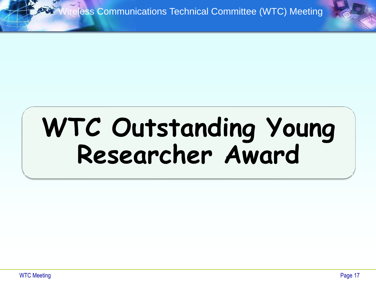## **WTC Outstanding Young Researcher Award**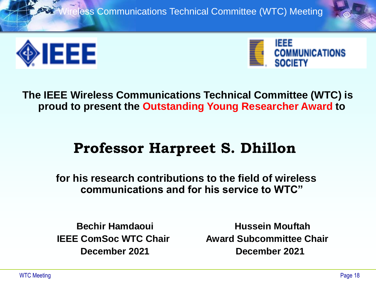



**The IEEE Wireless Communications Technical Committee (WTC) is proud to present the Outstanding Young Researcher Award to**

### **Professor Harpreet S. Dhillon**

**for his research contributions to the field of wireless communications and for his service to WTC"**

**Bechir Hamdaoui Hussein Mouftah IEEE ComSoc WTC Chair Figure Award Subcommittee Chair December 2021 December 2021**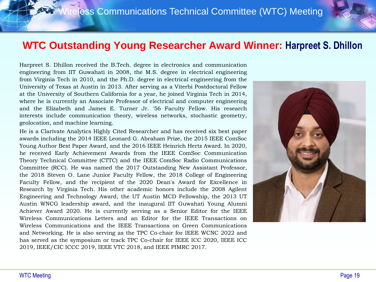#### **WTC Outstanding Young Researcher Award Winner: Harpreet S. Dhillon**

Harpreet S. Dhillon received the B.Tech. degree in electronics and communication engineering from IIT Guwahati in 2008, the M.S. degree in electrical engineering from Virginia Tech in 2010, and the Ph.D. degree in electrical engineering from the University of Texas at Austin in 2013. After serving as a Viterbi Postdoctoral Fellow at the University of Southern California for a year, he joined Virginia Tech in 2014, where he is currently an Associate Professor of electrical and computer engineering and the Elizabeth and James E. Turner Jr. '56 Faculty Fellow. His research interests include communication theory, wireless networks, stochastic geometry, geolocation, and machine learning.

He is a Clarivate Analytics Highly Cited Researcher and has received six best paper awards including the 2014 IEEE Leonard G. Abraham Prize, the 2015 IEEE ComSoc Young Author Best Paper Award, and the 2016 IEEE Heinrich Hertz Award. In 2020, he received Early Achievement Awards from the IEEE ComSoc Communication Theory Technical Committee (CTTC) and the IEEE ComSoc Radio Communications Committee (RCC). He was named the 2017 Outstanding New Assistant Professor, the 2018 Steven O. Lane Junior Faculty Fellow, the 2018 College of Engineering Faculty Fellow, and the recipient of the 2020 Dean's Award for Excellence in Research by Virginia Tech. His other academic honors include the 2008 Agilent Engineering and Technology Award, the UT Austin MCD Fellowship, the 2013 UT Austin WNCG leadership award, and the inaugural IIT Guwahati Young Alumni Achiever Award 2020. He is currently serving as a Senior Editor for the IEEE Wireless Communications Letters and an Editor for the IEEE Transactions on Wireless Communications and the IEEE Transactions on Green Communications and Networking. He is also serving as the TPC Co-chair for IEEE WCNC 2022 and has served as the symposium or track TPC Co-chair for IEEE ICC 2020, IEEE ICC 2019, IEEE/CIC ICCC 2019, IEEE VTC 2018, and IEEE PIMRC 2017.

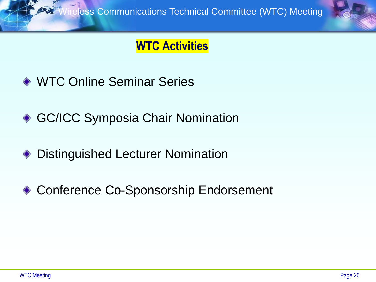### **WTC Activities**

- ◆ WTC Online Seminar Series
- ◆ GC/ICC Symposia Chair Nomination
- Distinguished Lecturer Nomination ◈
- ◆ Conference Co-Sponsorship Endorsement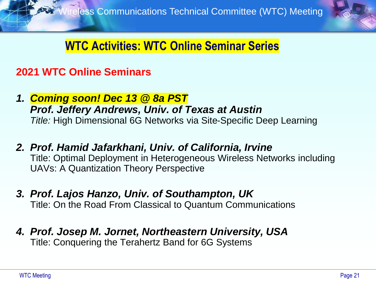

### **WTC Activities: WTC Online Seminar Series**

### **2021 WTC Online Seminars**

- *1. Coming soon! Dec 13 @ 8a PST Prof. Jeffery Andrews, Univ. of Texas at Austin Title:* High Dimensional 6G Networks via Site-Specific Deep Learning
- *2. Prof. Hamid Jafarkhani, Univ. of California, Irvine* Title: Optimal Deployment in Heterogeneous Wireless Networks including UAVs: A Quantization Theory Perspective
- *3. Prof. Lajos Hanzo, Univ. of Southampton, UK* Title: On the Road From Classical to Quantum Communications
- *4. Prof. Josep M. Jornet, Northeastern University, USA* Title: Conquering the Terahertz Band for 6G Systems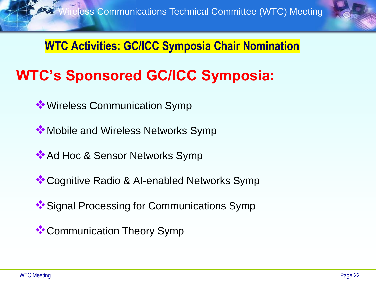

**WTC Activities: GC/ICC Symposia Chair Nomination**

### **WTC's Sponsored GC/ICC Symposia:**

- ❖Wireless Communication Symp
- **❖ Mobile and Wireless Networks Symp**
- **<sup>◆</sup>Ad Hoc & Sensor Networks Symp**
- ❖Cognitive Radio & AI-enabled Networks Symp
- **<sup>❖</sup>Signal Processing for Communications Symp**
- ❖Communication Theory Symp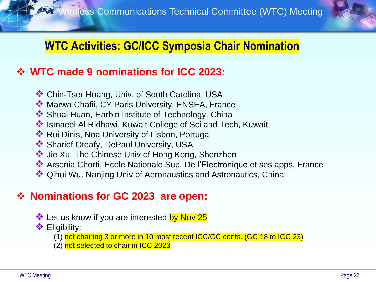

### **WTC Activities: GC/ICC Symposia Chair Nomination**

### ❖ **WTC made 9 nominations for ICC 2023:**

- ❖ Chin-Tser Huang, Univ. of South Carolina, USA
- ❖ Marwa Chafii, CY Paris University, ENSEA, France
- ❖ Shuai Huan, Harbin Institute of Technology, China
- ❖ Ismaeel Al Ridhawi, Kuwait College of Sci and Tech, Kuwait
- ❖ Rui Dinis, Noa University of Lisbon, Portugal
- ❖ Sharief Oteafy, DePaul University, USA
- ❖ Jie Xu, The Chinese Univ of Hong Kong, Shenzhen
- ❖ Arsenia Chorti, Ecole Nationale Sup. De l'Electronique et ses apps, France
- ❖ Qihui Wu, Nanjing Univ of Aeronaustics and Astronautics, China

### ❖ **Nominations for GC 2023 are open:**

- **❖** Let us know if you are interested by Nov 25
- ❖ Eligibility:
	- (1) not chairing 3 or more in 10 most recent ICC/GC confs. (GC 18 to ICC 23)
	- (2) not selected to chair in ICC 2023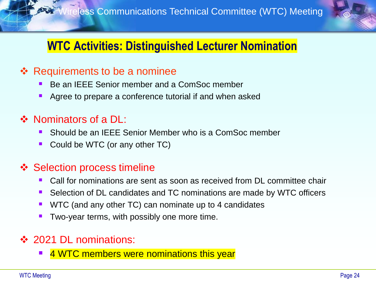

### **WTC Activities: Distinguished Lecturer Nomination**

### ❖ Requirements to be a nominee

- Be an IEEE Senior member and a ComSoc member
- Agree to prepare a conference tutorial if and when asked

### ❖ Nominators of a DL:

- Should be an IEEE Senior Member who is a ComSoc member
- Could be WTC (or any other TC)

### ❖ Selection process timeline

- Call for nominations are sent as soon as received from DL committee chair
- Selection of DL candidates and TC nominations are made by WTC officers
- WTC (and any other TC) can nominate up to 4 candidates
- Two-year terms, with possibly one more time.

### ❖ 2021 DL nominations:

**E** 4 WTC members were nominations this year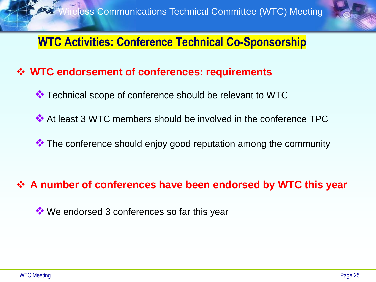

### **WTC Activities: Conference Technical Co-Sponsorship**

### ❖ **WTC endorsement of conferences: requirements**

- ❖ Technical scope of conference should be relevant to WTC
- ❖ At least 3 WTC members should be involved in the conference TPC
- ❖ The conference should enjoy good reputation among the community

### ❖ **A number of conferences have been endorsed by WTC this year**

❖ We endorsed 3 conferences so far this year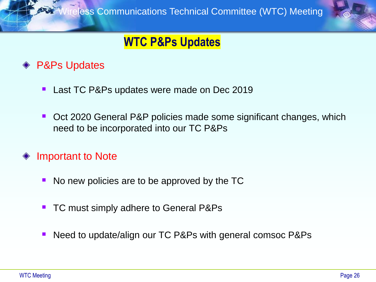

### **WTC P&Ps Updates**

### **◆ P&Ps Updates**

- Last TC P&Ps updates were made on Dec 2019
- Oct 2020 General P&P policies made some significant changes, which need to be incorporated into our TC P&Ps
- Important to Note
	- No new policies are to be approved by the TC
	- TC must simply adhere to General P&Ps
	- Need to update/align our TC P&Ps with general comsoc P&Ps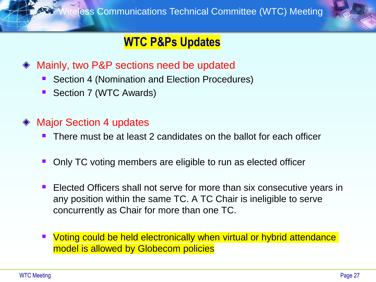

### **WTC P&Ps Updates**

- Mainly, two P&P sections need be updated
	- Section 4 (Nomination and Election Procedures)
	- Section 7 (WTC Awards)
- Major Section 4 updates
	- There must be at least 2 candidates on the ballot for each officer
	- Only TC voting members are eligible to run as elected officer
	- Elected Officers shall not serve for more than six consecutive years in any position within the same TC. A TC Chair is ineligible to serve concurrently as Chair for more than one TC.
	- Voting could be held electronically when virtual or hybrid attendance model is allowed by Globecom policies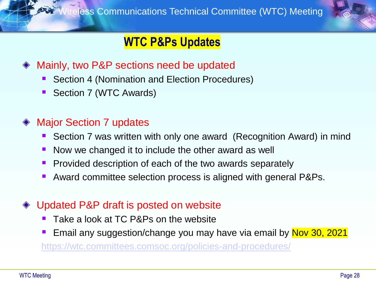

### **WTC P&Ps Updates**

- Mainly, two P&P sections need be updated
	- Section 4 (Nomination and Election Procedures)
	- Section 7 (WTC Awards)

### Major Section 7 updates

- Section 7 was written with only one award (Recognition Award) in mind
- Now we changed it to include the other award as well
- **Provided description of each of the two awards separately**
- Award committee selection process is aligned with general P&Ps.
- Updated P&P draft is posted on website
	- Take a look at TC P&Ps on the website
	- Email any suggestion/change you may have via email by Nov 30, 2021

<https://wtc.committees.comsoc.org/policies-and-procedures/>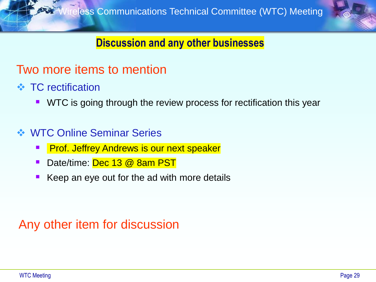

### **Discussion and any other businesses**

### Two more items to mention

- ❖ TC rectification
	- WTC is going through the review process for rectification this year

### ❖ WTC Online Seminar Series

- **Prof. Jeffrey Andrews is our next speaker**
- Date/time: Dec 13 @ 8am PST
- Keep an eye out for the ad with more details

### Any other item for discussion